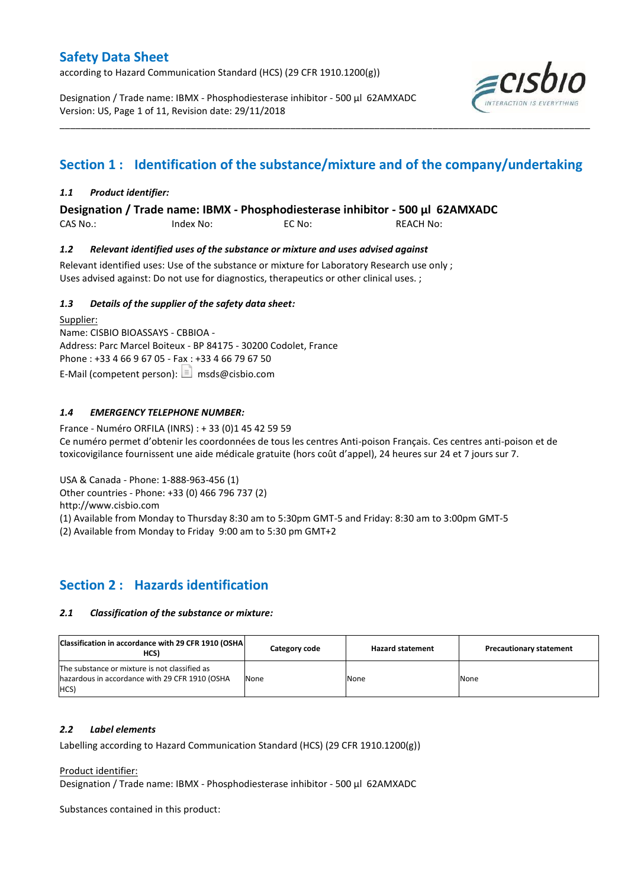according to Hazard Communication Standard (HCS) (29 CFR 1910.1200(g))

Designation / Trade name: IBMX - Phosphodiesterase inhibitor - 500 µl 62AMXADC Version: US, Page 1 of 11, Revision date: 29/11/2018



# **Section 1 : Identification of the substance/mixture and of the company/undertaking**

\_\_\_\_\_\_\_\_\_\_\_\_\_\_\_\_\_\_\_\_\_\_\_\_\_\_\_\_\_\_\_\_\_\_\_\_\_\_\_\_\_\_\_\_\_\_\_\_\_\_\_\_\_\_\_\_\_\_\_\_\_\_\_\_\_\_\_\_\_\_\_\_\_\_\_\_\_\_\_\_\_\_\_\_\_\_\_\_\_\_\_\_\_\_\_\_\_\_\_\_\_

### *1.1 Product identifier:*

**Designation / Trade name: IBMX - Phosphodiesterase inhibitor - 500 µl 62AMXADC** 

CAS No.: Index No: EC No: REACH No:

### *1.2 Relevant identified uses of the substance or mixture and uses advised against*

Relevant identified uses: Use of the substance or mixture for Laboratory Research use only ; Uses advised against: Do not use for diagnostics, therapeutics or other clinical uses. ;

### *1.3 Details of the supplier of the safety data sheet:*

Supplier: Name: CISBIO BIOASSAYS - CBBIOA - Address: Parc Marcel Boiteux - BP 84175 - 30200 Codolet, France Phone : +33 4 66 9 67 05 - Fax : +33 4 66 79 67 50 E-Mail (competent person):  $\boxed{\equiv}$  msds@cisbio.com

### *1.4 EMERGENCY TELEPHONE NUMBER:*

France - Numéro ORFILA (INRS) : + 33 (0)1 45 42 59 59 Ce numéro permet d'obtenir les coordonnées de tous les centres Anti-poison Français. Ces centres anti-poison et de toxicovigilance fournissent une aide médicale gratuite (hors coût d'appel), 24 heures sur 24 et 7 jours sur 7.

USA & Canada - Phone: 1-888-963-456 (1)

Other countries - Phone: +33 (0) 466 796 737 (2)

http://www.cisbio.com

(1) Available from Monday to Thursday 8:30 am to 5:30pm GMT-5 and Friday: 8:30 am to 3:00pm GMT-5

(2) Available from Monday to Friday 9:00 am to 5:30 pm GMT+2

### **Section 2 : Hazards identification**

### *2.1 Classification of the substance or mixture:*

| Classification in accordance with 29 CFR 1910 (OSHA)<br>HCS)                                            | Category code | <b>Hazard statement</b> | <b>Precautionary statement</b> |
|---------------------------------------------------------------------------------------------------------|---------------|-------------------------|--------------------------------|
| The substance or mixture is not classified as<br>hazardous in accordance with 29 CFR 1910 (OSHA<br>HCS) | None          | None                    | None                           |

### *2.2 Label elements*

Labelling according to Hazard Communication Standard (HCS) (29 CFR 1910.1200(g))

Product identifier:

Designation / Trade name: IBMX - Phosphodiesterase inhibitor - 500 µl 62AMXADC

Substances contained in this product: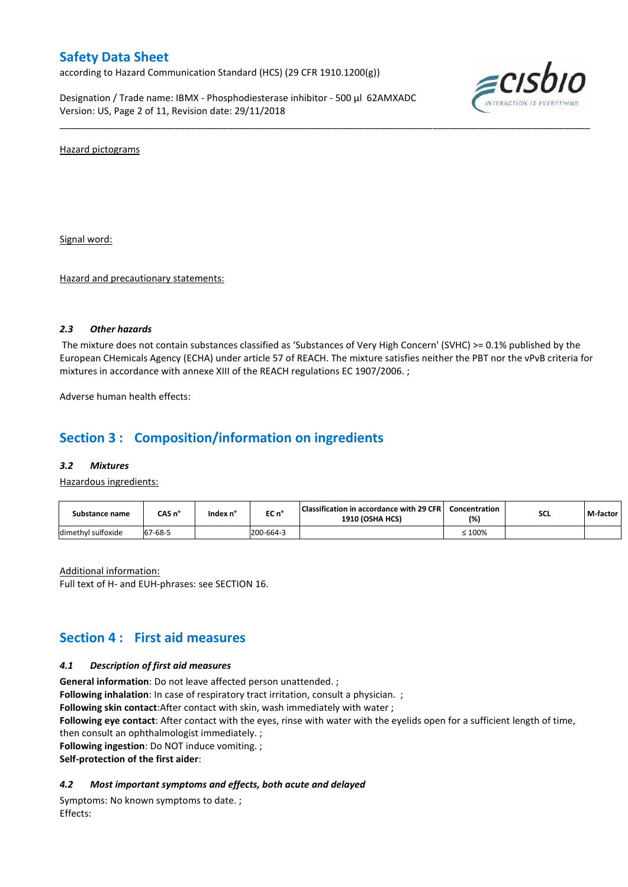according to Hazard Communication Standard (HCS) (29 CFR 1910.1200(g))

Designation / Trade name: IBMX - Phosphodiesterase inhibitor - 500 µl 62AMXADC Version: US, Page 2 of 11, Revision date: 29/11/2018



Hazard pictograms

Signal word:

Hazard and precautionary statements:

### *2.3 Other hazards*

The mixture does not contain substances classified as 'Substances of Very High Concern' (SVHC) >= 0.1% published by the European CHemicals Agency (ECHA) under article 57 of REACH. The mixture satisfies neither the PBT nor the vPvB criteria for mixtures in accordance with annexe XIII of the REACH regulations EC 1907/2006. ;

\_\_\_\_\_\_\_\_\_\_\_\_\_\_\_\_\_\_\_\_\_\_\_\_\_\_\_\_\_\_\_\_\_\_\_\_\_\_\_\_\_\_\_\_\_\_\_\_\_\_\_\_\_\_\_\_\_\_\_\_\_\_\_\_\_\_\_\_\_\_\_\_\_\_\_\_\_\_\_\_\_\_\_\_\_\_\_\_\_\_\_\_\_\_\_\_\_\_\_\_\_

Adverse human health effects:

### **Section 3 : Composition/information on ingredients**

#### *3.2 Mixtures*

Hazardous ingredients:

| Substance name     | CAS n°  | Index n' | EC n°     | <b>Classification in accordance with 29 CFR I</b><br><b>1910 (OSHA HCS)</b> | Concentration<br>(%) | <b>SCL</b> | M-factor |
|--------------------|---------|----------|-----------|-----------------------------------------------------------------------------|----------------------|------------|----------|
| dimethyl sulfoxide | 67-68-5 |          | 200-664-3 |                                                                             | $\leq 100\%$         |            |          |

Additional information: Full text of H- and EUH-phrases: see SECTION 16.

### **Section 4 : First aid measures**

### *4.1 Description of first aid measures*

**General information**: Do not leave affected person unattended. ;

**Following inhalation**: In case of respiratory tract irritation, consult a physician. ;

**Following skin contact**:After contact with skin, wash immediately with water ;

**Following eye contact**: After contact with the eyes, rinse with water with the eyelids open for a sufficient length of time, then consult an ophthalmologist immediately. ;

**Following ingestion**: Do NOT induce vomiting. ;

**Self-protection of the first aider**:

### *4.2 Most important symptoms and effects, both acute and delayed*

Symptoms: No known symptoms to date. ; Effects: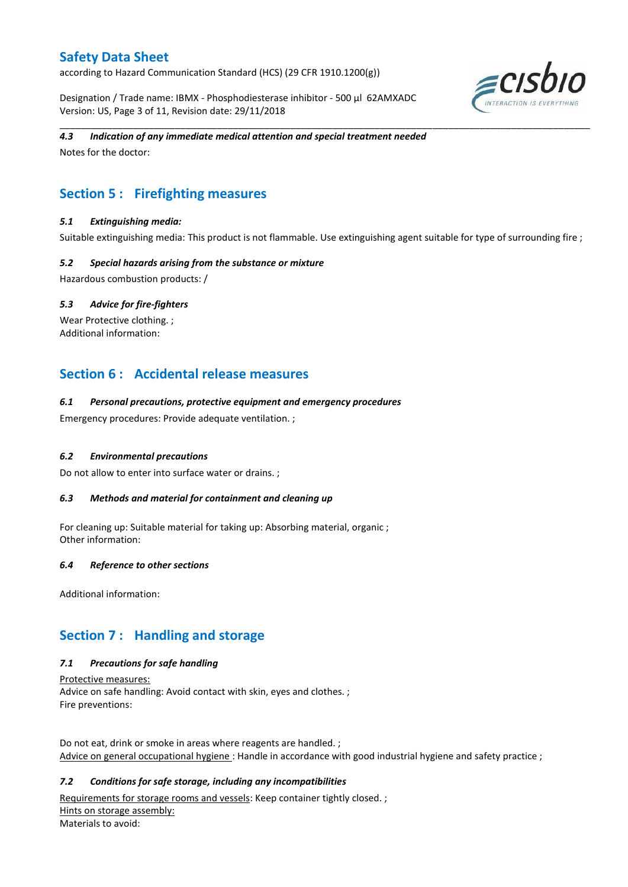according to Hazard Communication Standard (HCS) (29 CFR 1910.1200(g))

Designation / Trade name: IBMX - Phosphodiesterase inhibitor - 500 µl 62AMXADC Version: US, Page 3 of 11, Revision date: 29/11/2018



### *4.3 Indication of any immediate medical attention and special treatment needed*

Notes for the doctor:

# **Section 5 : Firefighting measures**

### *5.1 Extinguishing media:*

Suitable extinguishing media: This product is not flammable. Use extinguishing agent suitable for type of surrounding fire ;

\_\_\_\_\_\_\_\_\_\_\_\_\_\_\_\_\_\_\_\_\_\_\_\_\_\_\_\_\_\_\_\_\_\_\_\_\_\_\_\_\_\_\_\_\_\_\_\_\_\_\_\_\_\_\_\_\_\_\_\_\_\_\_\_\_\_\_\_\_\_\_\_\_\_\_\_\_\_\_\_\_\_\_\_\_\_\_\_\_\_\_\_\_\_\_\_\_\_\_\_\_

### *5.2 Special hazards arising from the substance or mixture*

Hazardous combustion products: /

### *5.3 Advice for fire-fighters*

Wear Protective clothing.; Additional information:

### **Section 6 : Accidental release measures**

### *6.1 Personal precautions, protective equipment and emergency procedures*

Emergency procedures: Provide adequate ventilation. ;

### *6.2 Environmental precautions*

Do not allow to enter into surface water or drains. ;

### *6.3 Methods and material for containment and cleaning up*

For cleaning up: Suitable material for taking up: Absorbing material, organic ; Other information:

### *6.4 Reference to other sections*

Additional information:

### **Section 7 : Handling and storage**

### *7.1 Precautions for safe handling*

Protective measures: Advice on safe handling: Avoid contact with skin, eyes and clothes. ; Fire preventions:

Do not eat, drink or smoke in areas where reagents are handled. ; Advice on general occupational hygiene: Handle in accordance with good industrial hygiene and safety practice ;

### *7.2 Conditions for safe storage, including any incompatibilities*

Requirements for storage rooms and vessels: Keep container tightly closed. ; Hints on storage assembly: Materials to avoid: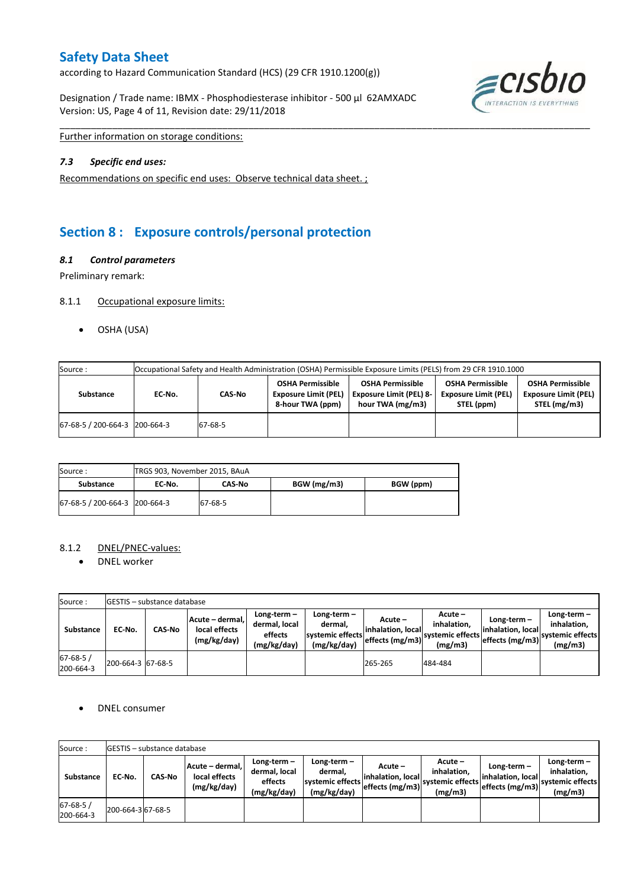according to Hazard Communication Standard (HCS) (29 CFR 1910.1200(g))

Designation / Trade name: IBMX - Phosphodiesterase inhibitor - 500 µl 62AMXADC Version: US, Page 4 of 11, Revision date: 29/11/2018



Further information on storage conditions:

### *7.3 Specific end uses:*

Recommendations on specific end uses: Observe technical data sheet. ;

# **Section 8 : Exposure controls/personal protection**

### *8.1 Control parameters*

Preliminary remark:

### 8.1.1 Occupational exposure limits:

OSHA (USA)

| Source:                       |        | Occupational Safety and Health Administration (OSHA) Permissible Exposure Limits (PELS) from 29 CFR 1910.1000 |                                                                            |                                                                               |                                                                      |                                                                        |  |  |  |  |
|-------------------------------|--------|---------------------------------------------------------------------------------------------------------------|----------------------------------------------------------------------------|-------------------------------------------------------------------------------|----------------------------------------------------------------------|------------------------------------------------------------------------|--|--|--|--|
| <b>Substance</b>              | EC No. | CAS-No                                                                                                        | <b>OSHA Permissible</b><br><b>Exposure Limit (PEL)</b><br>8-hour TWA (ppm) | <b>OSHA Permissible</b><br><b>Exposure Limit (PEL) 8-</b><br>hour TWA (mg/m3) | <b>OSHA Permissible</b><br><b>Exposure Limit (PEL)</b><br>STEL (ppm) | <b>OSHA Permissible</b><br><b>Exposure Limit (PEL)</b><br>STEL (mg/m3) |  |  |  |  |
| 67-68-5 / 200-664-3 200-664-3 |        | 67-68-5                                                                                                       |                                                                            |                                                                               |                                                                      |                                                                        |  |  |  |  |

\_\_\_\_\_\_\_\_\_\_\_\_\_\_\_\_\_\_\_\_\_\_\_\_\_\_\_\_\_\_\_\_\_\_\_\_\_\_\_\_\_\_\_\_\_\_\_\_\_\_\_\_\_\_\_\_\_\_\_\_\_\_\_\_\_\_\_\_\_\_\_\_\_\_\_\_\_\_\_\_\_\_\_\_\_\_\_\_\_\_\_\_\_\_\_\_\_\_\_\_\_

| Source:                         | TRGS 903, November 2015, BAuA |         |             |           |
|---------------------------------|-------------------------------|---------|-------------|-----------|
| Substance                       | EC No.                        | CAS No  | BGW (mg/m3) | BGW (ppm) |
| 67-68-5 / 200-664-3   200-664-3 |                               | 67-68-5 |             |           |

### 8.1.2 DNEL/PNEC-values:

• DNEL worker

| Source:                    |                   | <b>IGESTIS - substance database</b> |                                                 |                                                       |                                                           |                                                  |                                                          |                                                         |                                                             |  |
|----------------------------|-------------------|-------------------------------------|-------------------------------------------------|-------------------------------------------------------|-----------------------------------------------------------|--------------------------------------------------|----------------------------------------------------------|---------------------------------------------------------|-------------------------------------------------------------|--|
| Substance                  | EC No.            | <b>CAS-No</b>                       | Acute - dermal,<br>local effects<br>(mg/kg/day) | Long-term-<br>dermal, local<br>effects<br>(mg/kg/day) | Long-term –<br>dermal.<br>systemic effects<br>(mg/kg/day) | Acute –<br>linhalation. local<br>effects (mg/m3) | $Acute -$<br>inhalation.<br>Isystemic effects<br>(mg/m3) | $Long-term -$<br>linhalation. locall<br>effects (mg/m3) | $Long-term -$<br>inhalation.<br>systemic effects<br>(mg/m3) |  |
| $67 - 68 - 5$<br>200-664-3 | 200-664-3 67-68-5 |                                     |                                                 |                                                       |                                                           | 265-265                                          | 484-484                                                  |                                                         |                                                             |  |

### • DNEL consumer

| Source:                     |                   | <b>IGESTIS - substance database</b> |                                                 |                                                          |                                                          |                                                  |                                                       |                                                      |                                                             |  |
|-----------------------------|-------------------|-------------------------------------|-------------------------------------------------|----------------------------------------------------------|----------------------------------------------------------|--------------------------------------------------|-------------------------------------------------------|------------------------------------------------------|-------------------------------------------------------------|--|
| Substance                   | EC No.            | <b>CAS-No</b>                       | Acute – dermal.<br>local effects<br>(mg/kg/day) | $Long-term -$<br>dermal, local<br>effects<br>(mg/kg/day) | Long-term-<br>dermal,<br>systemic effects<br>(mg/kg/day) | Acute –<br>linhalation. local<br>effects (mg/m3) | Acute –<br>inhalation.<br>svstemic effects<br>(mg/m3) | Long-term -<br>inhalation. local<br>leffects (mg/m3) | $Long-term -$<br>inhalation.<br>systemic effects<br>(mg/m3) |  |
| $67 - 68 - 5/$<br>200-664-3 | 200-664-3 67-68-5 |                                     |                                                 |                                                          |                                                          |                                                  |                                                       |                                                      |                                                             |  |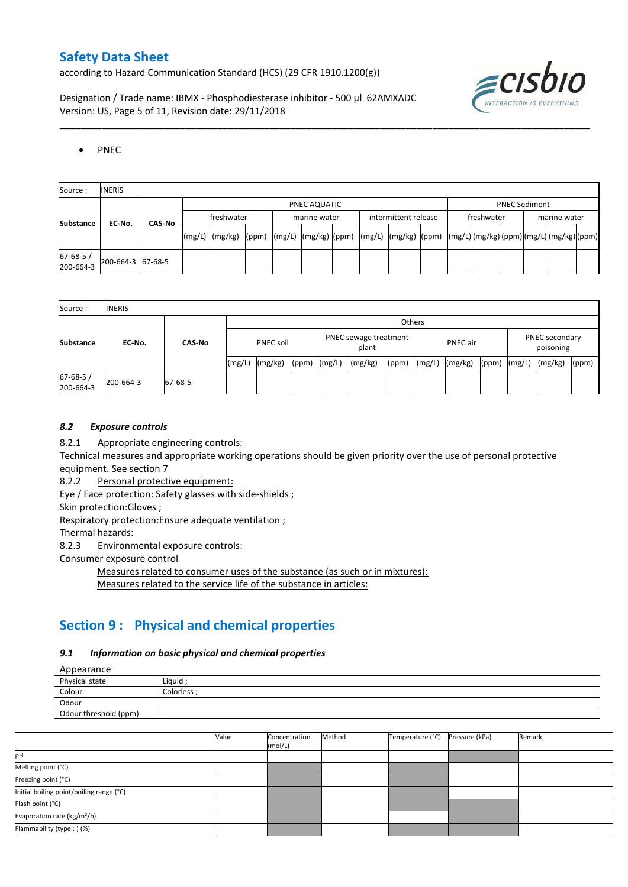according to Hazard Communication Standard (HCS) (29 CFR 1910.1200(g))

Designation / Trade name: IBMX - Phosphodiesterase inhibitor - 500 µl 62AMXADC Version: US, Page 5 of 11, Revision date: 29/11/2018



### • PNEC

| Source:               | <b>INERIS</b>     |        |            |  |              |  |                      |  |            |                      |              |  |
|-----------------------|-------------------|--------|------------|--|--------------|--|----------------------|--|------------|----------------------|--------------|--|
|                       |                   |        |            |  | PNEC AQUATIC |  |                      |  |            | <b>PNEC Sediment</b> |              |  |
|                       | EC No.            | CAS-No | freshwater |  | marine water |  | intermittent release |  | freshwater |                      | marine water |  |
| <b>Substance</b>      |                   |        |            |  |              |  |                      |  |            |                      |              |  |
| 67-68-5/<br>200-664-3 | 200-664-3 67-68-5 |        |            |  |              |  |                      |  |            |                      |              |  |

\_\_\_\_\_\_\_\_\_\_\_\_\_\_\_\_\_\_\_\_\_\_\_\_\_\_\_\_\_\_\_\_\_\_\_\_\_\_\_\_\_\_\_\_\_\_\_\_\_\_\_\_\_\_\_\_\_\_\_\_\_\_\_\_\_\_\_\_\_\_\_\_\_\_\_\_\_\_\_\_\_\_\_\_\_\_\_\_\_\_\_\_\_\_\_\_\_\_\_\_\_

| Source:                     | <b>INERIS</b> |               |        |                  |       |                                |         |       |                 |         |       |                             |         |       |
|-----------------------------|---------------|---------------|--------|------------------|-------|--------------------------------|---------|-------|-----------------|---------|-------|-----------------------------|---------|-------|
|                             |               |               | Others |                  |       |                                |         |       |                 |         |       |                             |         |       |
| <b>Substance</b>            | EC-No.        | <b>CAS-No</b> |        | <b>PNEC soil</b> |       | PNEC sewage treatment<br>plant |         |       | <b>PNEC</b> air |         |       | PNEC secondary<br>poisoning |         |       |
|                             |               |               | (mg/L) | (mg/kg)          | (ppm) | (mg/L)                         | (mg/kg) | (ppm) | (mg/L)          | (mg/kg) | (ppm) | (mg/L)                      | (mg/kg) | (ppm) |
| $67 - 68 - 5/$<br>200-664-3 | 200-664-3     | 67-68-5       |        |                  |       |                                |         |       |                 |         |       |                             |         |       |

### *8.2 Exposure controls*

8.2.1 Appropriate engineering controls:

Technical measures and appropriate working operations should be given priority over the use of personal protective equipment. See section 7

8.2.2 Personal protective equipment:

Eye / Face protection: Safety glasses with side-shields ;

Skin protection:Gloves ;

Respiratory protection:Ensure adequate ventilation ;

Thermal hazards:

8.2.3 Environmental exposure controls:

Consumer exposure control

Measures related to consumer uses of the substance (as such or in mixtures): Measures related to the service life of the substance in articles:

## **Section 9 : Physical and chemical properties**

### *9.1 Information on basic physical and chemical properties*

**A**nnearance

| <u>Appearance</u>     |             |
|-----------------------|-------------|
| Physical state        | Liquid      |
| Colour                | Colorless ; |
| Odour                 |             |
| Odour threshold (ppm) |             |

|                                          | Value | Concentration<br>(mol/L) | Method | Temperature (°C) | Pressure (kPa) | Remark |
|------------------------------------------|-------|--------------------------|--------|------------------|----------------|--------|
| pH                                       |       |                          |        |                  |                |        |
| Melting point (°C)                       |       |                          |        |                  |                |        |
| Freezing point (°C)                      |       |                          |        |                  |                |        |
| Initial boiling point/boiling range (°C) |       |                          |        |                  |                |        |
| Flash point (°C)                         |       |                          |        |                  |                |        |
| Evaporation rate (kg/m <sup>2</sup> /h)  |       |                          |        |                  |                |        |
| Flammability (type: ) (%)                |       |                          |        |                  |                |        |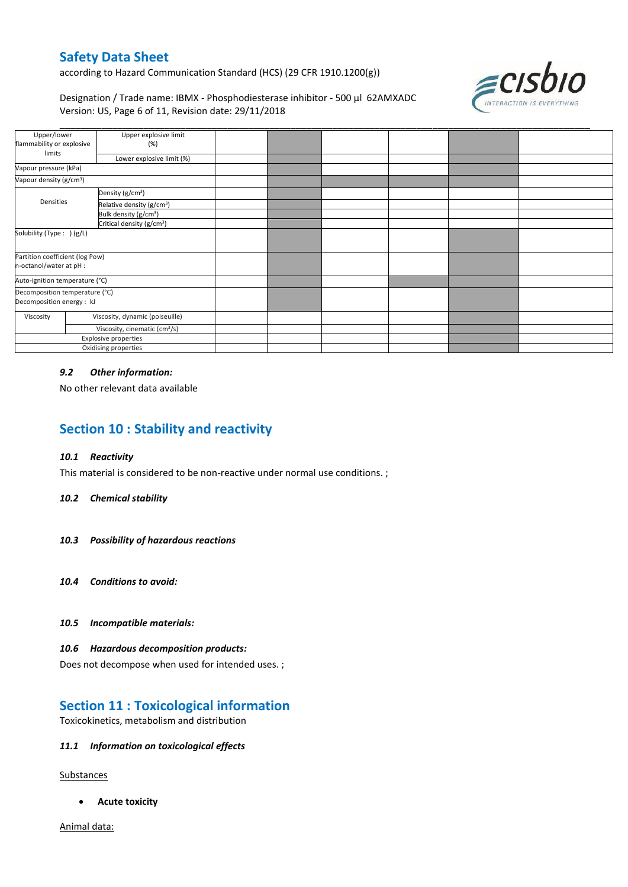according to Hazard Communication Standard (HCS) (29 CFR 1910.1200(g))



Designation / Trade name: IBMX - Phosphodiesterase inhibitor - 500 µl 62AMXADC Version: US, Page 6 of 11, Revision date: 29/11/2018

| Upper/lower                                                |                                               |                                                    |  |  |
|------------------------------------------------------------|-----------------------------------------------|----------------------------------------------------|--|--|
|                                                            |                                               |                                                    |  |  |
|                                                            |                                               |                                                    |  |  |
| Vapour pressure (kPa)                                      |                                               |                                                    |  |  |
| Vapour density (g/cm <sup>3</sup> )                        |                                               |                                                    |  |  |
| Density (g/cm <sup>3</sup> )                               |                                               |                                                    |  |  |
| Relative density (g/cm <sup>3</sup> )                      |                                               |                                                    |  |  |
| Bulk density (g/cm <sup>3</sup> )                          |                                               |                                                    |  |  |
| Critical density (g/cm <sup>3</sup> )                      |                                               |                                                    |  |  |
| Solubility (Type: ) (g/L)                                  |                                               |                                                    |  |  |
| Partition coefficient (log Pow)<br>n-octanol/water at pH : |                                               |                                                    |  |  |
| Auto-ignition temperature (°C)                             |                                               |                                                    |  |  |
| Decomposition temperature (°C)                             |                                               |                                                    |  |  |
| Decomposition energy : kJ                                  |                                               |                                                    |  |  |
| Viscosity, dynamic (poiseuille)                            |                                               |                                                    |  |  |
| Viscosity, cinematic (cm <sup>3</sup> /s)                  |                                               |                                                    |  |  |
| Explosive properties                                       |                                               |                                                    |  |  |
| Oxidising properties                                       |                                               |                                                    |  |  |
|                                                            | flammability or explosive<br>(%)<br>Densities | Upper explosive limit<br>Lower explosive limit (%) |  |  |

### *9.2 Other information:*

No other relevant data available

# **Section 10 : Stability and reactivity**

### *10.1 Reactivity*

This material is considered to be non-reactive under normal use conditions. ;

#### *10.2 Chemical stability*

- *10.3 Possibility of hazardous reactions*
- *10.4 Conditions to avoid:*
- *10.5 Incompatible materials:*

#### *10.6 Hazardous decomposition products:*

Does not decompose when used for intended uses. ;

### **Section 11 : Toxicological information**

Toxicokinetics, metabolism and distribution

### *11.1 Information on toxicological effects*

**Substances** 

**Acute toxicity**

Animal data: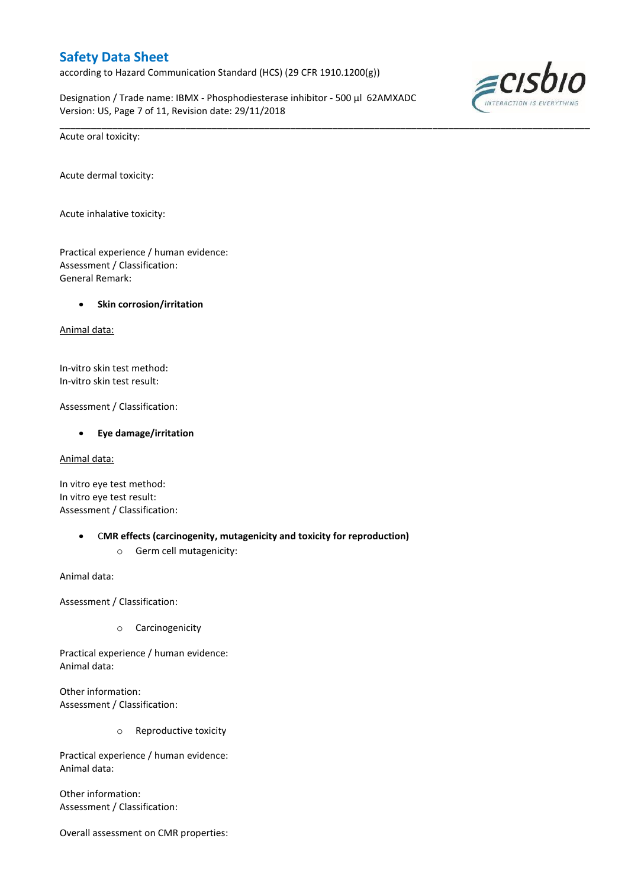according to Hazard Communication Standard (HCS) (29 CFR 1910.1200(g))

Designation / Trade name: IBMX - Phosphodiesterase inhibitor - 500 µl 62AMXADC Version: US, Page 7 of 11, Revision date: 29/11/2018

\_\_\_\_\_\_\_\_\_\_\_\_\_\_\_\_\_\_\_\_\_\_\_\_\_\_\_\_\_\_\_\_\_\_\_\_\_\_\_\_\_\_\_\_\_\_\_\_\_\_\_\_\_\_\_\_\_\_\_\_\_\_\_\_\_\_\_\_\_\_\_\_\_\_\_\_\_\_\_\_\_\_\_\_\_\_\_\_\_\_\_\_\_\_\_\_\_\_\_\_\_



Acute oral toxicity:

Acute dermal toxicity:

Acute inhalative toxicity:

Practical experience / human evidence: Assessment / Classification: General Remark:

### **Skin corrosion/irritation**

Animal data:

In-vitro skin test method: In-vitro skin test result:

Assessment / Classification:

#### **Eye damage/irritation**

Animal data:

In vitro eye test method: In vitro eye test result: Assessment / Classification:

- C**MR effects (carcinogenity, mutagenicity and toxicity for reproduction)**
	- o Germ cell mutagenicity:

Animal data:

Assessment / Classification:

o Carcinogenicity

Practical experience / human evidence: Animal data:

Other information: Assessment / Classification:

o Reproductive toxicity

Practical experience / human evidence: Animal data:

Other information: Assessment / Classification:

Overall assessment on CMR properties: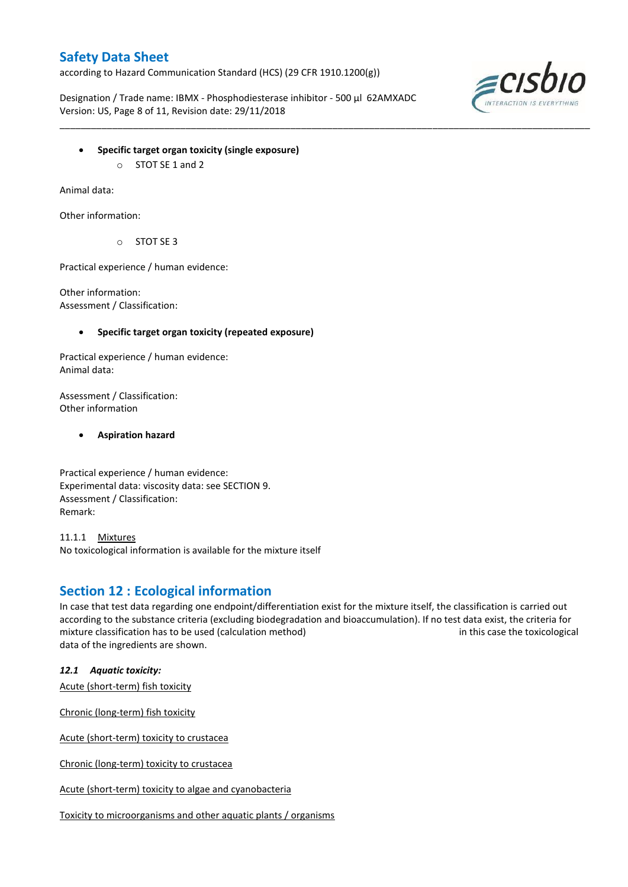according to Hazard Communication Standard (HCS) (29 CFR 1910.1200(g))

Designation / Trade name: IBMX - Phosphodiesterase inhibitor - 500 µl 62AMXADC Version: US, Page 8 of 11, Revision date: 29/11/2018

\_\_\_\_\_\_\_\_\_\_\_\_\_\_\_\_\_\_\_\_\_\_\_\_\_\_\_\_\_\_\_\_\_\_\_\_\_\_\_\_\_\_\_\_\_\_\_\_\_\_\_\_\_\_\_\_\_\_\_\_\_\_\_\_\_\_\_\_\_\_\_\_\_\_\_\_\_\_\_\_\_\_\_\_\_\_\_\_\_\_\_\_\_\_\_\_\_\_\_\_\_



- **Specific target organ toxicity (single exposure)**
	- o STOT SE 1 and 2

Animal data:

Other information:

o STOT SE 3

Practical experience / human evidence:

Other information: Assessment / Classification:

### **Specific target organ toxicity (repeated exposure)**

Practical experience / human evidence: Animal data:

Assessment / Classification: Other information

**Aspiration hazard**

Practical experience / human evidence: Experimental data: viscosity data: see SECTION 9. Assessment / Classification: Remark:

11.1.1 Mixtures No toxicological information is available for the mixture itself

### **Section 12 : Ecological information**

In case that test data regarding one endpoint/differentiation exist for the mixture itself, the classification is carried out according to the substance criteria (excluding biodegradation and bioaccumulation). If no test data exist, the criteria for mixture classification has to be used (calculation method) in this case the toxicological data of the ingredients are shown.

*12.1 Aquatic toxicity:* 

Acute (short-term) fish toxicity

Chronic (long-term) fish toxicity

Acute (short-term) toxicity to crustacea

Chronic (long-term) toxicity to crustacea

Acute (short-term) toxicity to algae and cyanobacteria

Toxicity to microorganisms and other aquatic plants / organisms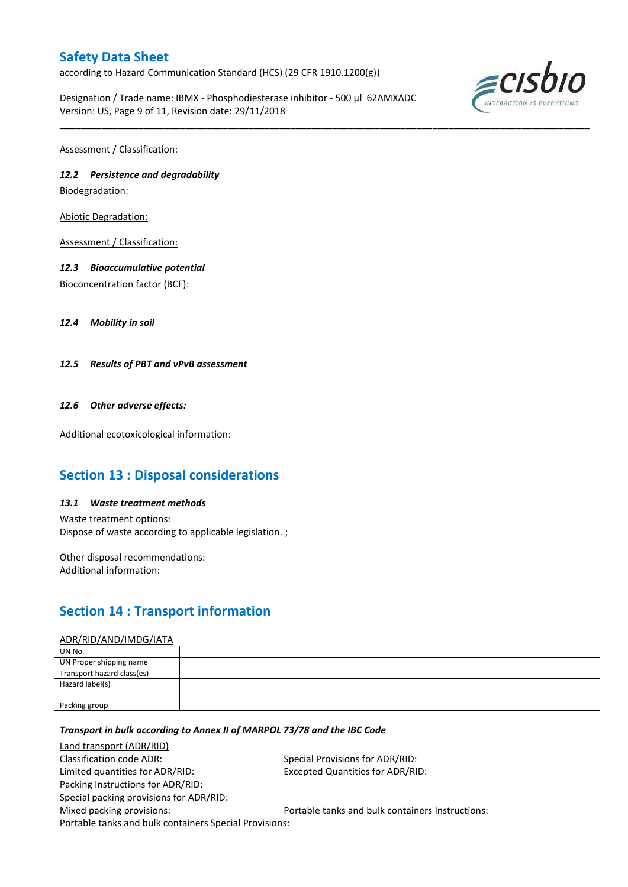according to Hazard Communication Standard (HCS) (29 CFR 1910.1200(g))

Designation / Trade name: IBMX - Phosphodiesterase inhibitor - 500 µl 62AMXADC Version: US, Page 9 of 11, Revision date: 29/11/2018

\_\_\_\_\_\_\_\_\_\_\_\_\_\_\_\_\_\_\_\_\_\_\_\_\_\_\_\_\_\_\_\_\_\_\_\_\_\_\_\_\_\_\_\_\_\_\_\_\_\_\_\_\_\_\_\_\_\_\_\_\_\_\_\_\_\_\_\_\_\_\_\_\_\_\_\_\_\_\_\_\_\_\_\_\_\_\_\_\_\_\_\_\_\_\_\_\_\_\_\_\_



Assessment / Classification:

### *12.2 Persistence and degradability*

Biodegradation:

Abiotic Degradation:

Assessment / Classification:

### *12.3 Bioaccumulative potential*

Bioconcentration factor (BCF):

*12.4 Mobility in soil*

*12.5 Results of PBT and vPvB assessment*

### *12.6 Other adverse effects:*

Additional ecotoxicological information:

### **Section 13 : Disposal considerations**

### *13.1 Waste treatment methods*

Waste treatment options: Dispose of waste according to applicable legislation. ;

Other disposal recommendations: Additional information:

## **Section 14 : Transport information**

#### ADR/RID/AND/IMDG/IATA

| UN No.                     |  |
|----------------------------|--|
| UN Proper shipping name    |  |
| Transport hazard class(es) |  |
| Hazard label(s)            |  |
|                            |  |
| Packing group              |  |

### *Transport in bulk according to Annex II of MARPOL 73/78 and the IBC Code*

Land transport (ADR/RID) Classification code ADR: Special Provisions for ADR/RID: Limited quantities for ADR/RID: Excepted Quantities for ADR/RID: Packing Instructions for ADR/RID: Special packing provisions for ADR/RID: Mixed packing provisions: Portable tanks and bulk containers Instructions: Portable tanks and bulk containers Special Provisions: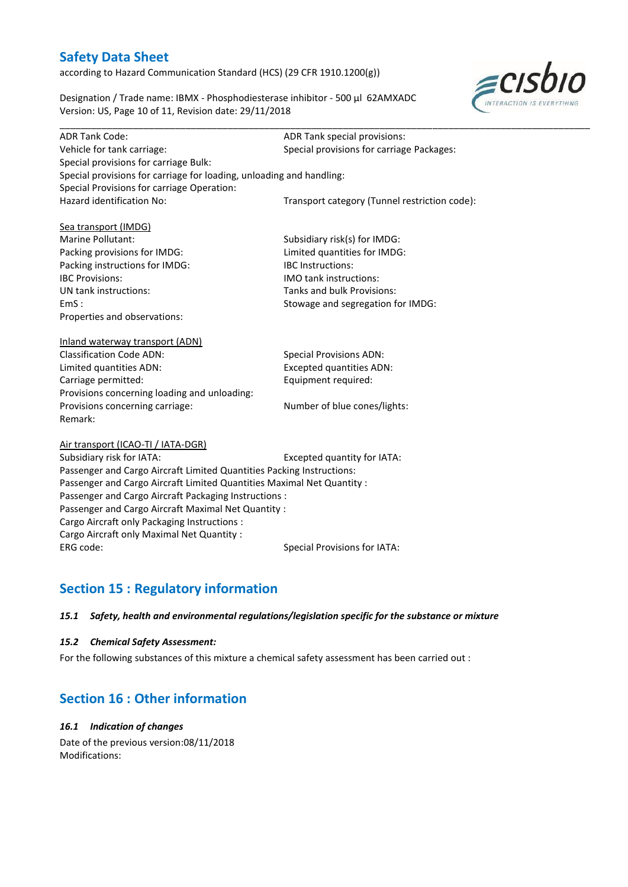according to Hazard Communication Standard (HCS) (29 CFR 1910.1200(g))

Designation / Trade name: IBMX - Phosphodiesterase inhibitor - 500 µl 62AMXADC Version: US, Page 10 of 11, Revision date: 29/11/2018



| <b>ADR Tank Code:</b>                                                  | ADR Tank special provisions:                  |
|------------------------------------------------------------------------|-----------------------------------------------|
| Vehicle for tank carriage:                                             | Special provisions for carriage Packages:     |
| Special provisions for carriage Bulk:                                  |                                               |
| Special provisions for carriage for loading, unloading and handling:   |                                               |
| Special Provisions for carriage Operation:                             |                                               |
| Hazard identification No:                                              | Transport category (Tunnel restriction code): |
|                                                                        |                                               |
| Sea transport (IMDG)                                                   |                                               |
| Marine Pollutant:                                                      | Subsidiary risk(s) for IMDG:                  |
| Packing provisions for IMDG:                                           | Limited quantities for IMDG:                  |
| Packing instructions for IMDG:                                         | IBC Instructions:                             |
| <b>IBC Provisions:</b>                                                 | <b>IMO tank instructions:</b>                 |
| UN tank instructions:                                                  | Tanks and bulk Provisions:                    |
| EmS:                                                                   | Stowage and segregation for IMDG:             |
| Properties and observations:                                           |                                               |
| Inland waterway transport (ADN)                                        |                                               |
| <b>Classification Code ADN:</b>                                        | <b>Special Provisions ADN:</b>                |
| Limited quantities ADN:                                                | <b>Excepted quantities ADN:</b>               |
| Carriage permitted:                                                    | Equipment required:                           |
| Provisions concerning loading and unloading:                           |                                               |
| Provisions concerning carriage:                                        | Number of blue cones/lights:                  |
| Remark:                                                                |                                               |
|                                                                        |                                               |
| Air transport (ICAO-TI / IATA-DGR)                                     |                                               |
| Subsidiary risk for IATA:                                              | Excepted quantity for IATA:                   |
| Passenger and Cargo Aircraft Limited Quantities Packing Instructions:  |                                               |
| Passenger and Cargo Aircraft Limited Quantities Maximal Net Quantity : |                                               |
| Passenger and Cargo Aircraft Packaging Instructions :                  |                                               |
| Passenger and Cargo Aircraft Maximal Net Quantity :                    |                                               |
| Cargo Aircraft only Packaging Instructions :                           |                                               |
| Cargo Aircraft only Maximal Net Quantity :                             |                                               |
| ERG code:                                                              | <b>Special Provisions for IATA:</b>           |
|                                                                        |                                               |

# **Section 15 : Regulatory information**

### *15.1 Safety, health and environmental regulations/legislation specific for the substance or mixture*

### *15.2 Chemical Safety Assessment:*

For the following substances of this mixture a chemical safety assessment has been carried out :

### **Section 16 : Other information**

### *16.1 Indication of changes*

Date of the previous version:08/11/2018 Modifications: